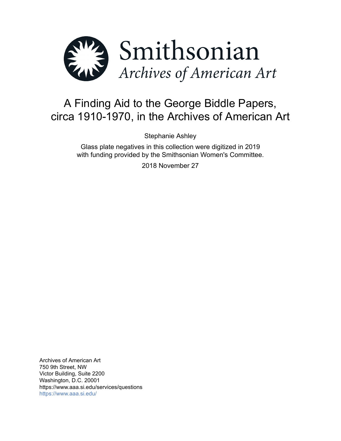

# A Finding Aid to the George Biddle Papers, circa 1910-1970, in the Archives of American Art

Stephanie Ashley

Glass plate negatives in this collection were digitized in 2019 with funding provided by the Smithsonian Women's Committee.

2018 November 27

Archives of American Art 750 9th Street, NW Victor Building, Suite 2200 Washington, D.C. 20001 https://www.aaa.si.edu/services/questions <https://www.aaa.si.edu/>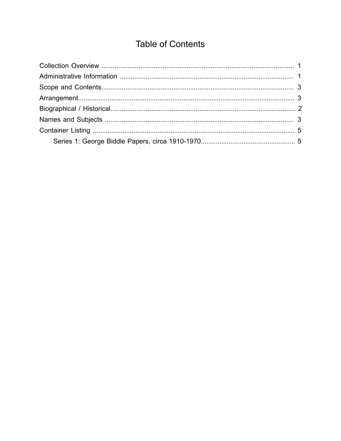## **Table of Contents**

<span id="page-1-0"></span>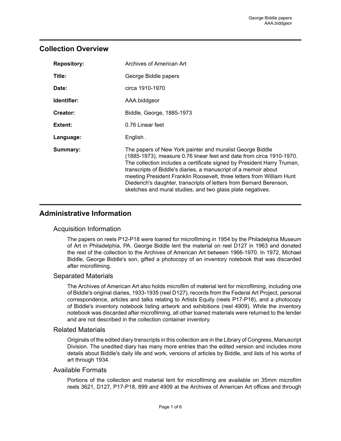## <span id="page-2-0"></span>**Collection Overview**

| <b>Repository:</b> | Archives of American Art                                                                                                                                                                                                                                                                                                                                                                                                                                                                      |
|--------------------|-----------------------------------------------------------------------------------------------------------------------------------------------------------------------------------------------------------------------------------------------------------------------------------------------------------------------------------------------------------------------------------------------------------------------------------------------------------------------------------------------|
| Title:             | George Biddle papers                                                                                                                                                                                                                                                                                                                                                                                                                                                                          |
| Date:              | circa 1910-1970                                                                                                                                                                                                                                                                                                                                                                                                                                                                               |
| Identifier:        | AAA.biddgeor                                                                                                                                                                                                                                                                                                                                                                                                                                                                                  |
| Creator:           | Biddle, George, 1885-1973                                                                                                                                                                                                                                                                                                                                                                                                                                                                     |
| Extent:            | 0.76 Linear feet                                                                                                                                                                                                                                                                                                                                                                                                                                                                              |
| Language:          | English.                                                                                                                                                                                                                                                                                                                                                                                                                                                                                      |
| Summary:           | The papers of New York painter and muralist George Biddle<br>(1885-1973), measure 0.76 linear feet and date from circa 1910-1970.<br>The collection includes a certificate signed by President Harry Truman,<br>transcripts of Biddle's diaries, a manuscript of a memoir about<br>meeting President Franklin Roosevelt, three letters from William Hunt<br>Diederich's daughter, transcripts of letters from Bernard Berenson,<br>sketches and mural studies, and two glass plate negatives. |

## <span id="page-2-1"></span>**Administrative Information**

## Acquisition Information

The papers on reels P12-P18 were loaned for microfilming in 1954 by the Philadelphia Museum of Art in Philadelphia, PA. George Biddle lent the material on reel D127 in 1963 and donated the rest of the collection to the Archives of American Art between 1966-1970. In 1972, Michael Biddle, George Biddle's son, gifted a photocopy of an inventory notebook that was discarded after microfilming.

## Separated Materials

The Archives of American Art also holds microfilm of material lent for microfilming, including one of Biddle's original diaries, 1933-1935 (reel D127), records from the Federal Art Project, personal correspondence, articles and talks relating to Artists Equity (reels P17-P18), and a photocopy of Biddle's inventory notebook listing artwork and exhibitions (reel 4909). While the inventory notebook was discarded after microfilming, all other loaned materials were returned to the lender and are not described in the collection container inventory.

#### Related Materials

Originals of the edited diary transcripts in this collection are in the Library of Congress, Manuscript Division. The unedited diary has many more entries than the edited version and includes more details about Biddle's daily life and work, versions of articles by Biddle, and lists of his works of art through 1934.

#### Available Formats

Portions of the collection and material lent for microfilming are available on 35mm microfilm reels 3621, D127, P17-P18, 899 and 4909 at the Archives of American Art offices and through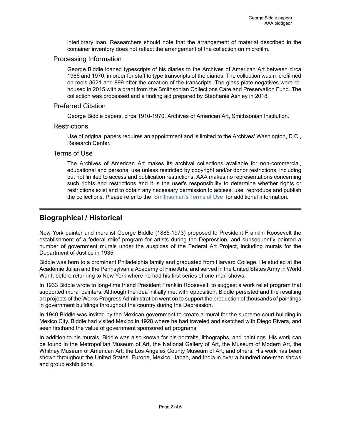interlibrary loan. Researchers should note that the arrangement of material described in the container inventory does not reflect the arrangement of the collection on microfilm.

#### Processing Information

George Biddle loaned typescripts of his diaries to the Archives of American Art between circa 1966 and 1970, in order for staff to type transcripts of the diaries. The collection was microfilmed on reels 3621 and 899 after the creation of the transcripts. The glass plate negatives were rehoused in 2015 with a grant from the Smithsonian Collections Care and Preservation Fund. The collection was processed and a finding aid prepared by Stephanie Ashley in 2018.

#### Preferred Citation

George Biddle papers, circa 1910-1970. Archives of American Art, Smithsonian Institution.

#### **Restrictions**

Use of original papers requires an appointment and is limited to the Archives' Washington, D.C., Research Center.

#### Terms of Use

The Archives of American Art makes its archival collections available for non-commercial, educational and personal use unless restricted by copyright and/or donor restrictions, including but not limited to access and publication restrictions. AAA makes no representations concerning such rights and restrictions and it is the user's responsibility to determine whether rights or restrictions exist and to obtain any necessary permission to access, use, reproduce and publish the collections. Please refer to the [Smithsonian's](https://www.si.edu/termsofuse) Terms of Use for additional information.

## <span id="page-3-0"></span>**Biographical / Historical**

New York painter and muralist George Biddle (1885-1973) proposed to President Franklin Roosevelt the establishment of a federal relief program for artists during the Depression, and subsequently painted a number of government murals under the auspices of the Federal Art Project, including murals for the Department of Justice in 1935.

Biddle was born to a prominent Philadelphia family and graduated from Harvard College. He studied at the Académie Julian and the Pennsylvania Academy of Fine Arts, and served in the United States Army in World War I, before returning to New York where he had his first series of one-man shows.

In 1933 Biddle wrote to long-time friend President Franklin Roosevelt, to suggest a work relief program that supported mural painters. Although the idea initially met with opposition, Biddle persisted and the resulting art projects of the Works Progress Administration went on to support the production of thousands of paintings in government buildings throughout the country during the Depression.

In 1940 Biddle was invited by the Mexican government to create a mural for the supreme court building in Mexico City. Biddle had visited Mexico in 1928 where he had traveled and sketched with Diego Rivera, and seen firsthand the value of government sponsored art programs.

In addition to his murals, Biddle was also known for his portraits, lithographs, and paintings. His work can be found in the Metropolitan Museum of Art, the National Gallery of Art, the Museum of Modern Art, the Whitney Museum of American Art, the Los Angeles County Museum of Art, and others. His work has been shown throughout the United States, Europe, Mexico, Japan, and India in over a hundred one-man shows and group exhibitions.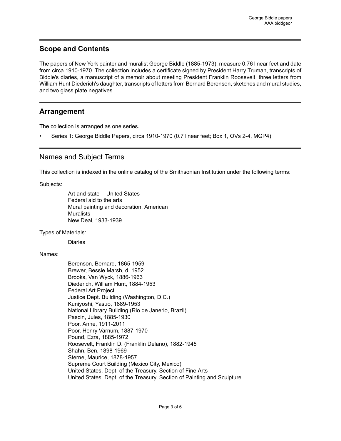## <span id="page-4-0"></span>**Scope and Contents**

The papers of New York painter and muralist George Biddle (1885-1973), measure 0.76 linear feet and date from circa 1910-1970. The collection includes a certificate signed by President Harry Truman, transcripts of Biddle's diaries, a manuscript of a memoir about meeting President Franklin Roosevelt, three letters from William Hunt Diederich's daughter, transcripts of letters from Bernard Berenson, sketches and mural studies, and two glass plate negatives.

## <span id="page-4-1"></span>**Arrangement**

The collection is arranged as one series.

• Series 1: George Biddle Papers, circa 1910-1970 (0.7 linear feet; Box 1, OVs 2-4, MGP4)

## <span id="page-4-2"></span>Names and Subject Terms

This collection is indexed in the online catalog of the Smithsonian Institution under the following terms:

Subjects:

Art and state -- United States Federal aid to the arts Mural painting and decoration, American **Muralists** New Deal, 1933-1939

Types of Materials:

Diaries

#### Names:

Berenson, Bernard, 1865-1959 Brewer, Bessie Marsh, d. 1952 Brooks, Van Wyck, 1886-1963 Diederich, William Hunt, 1884-1953 Federal Art Project Justice Dept. Building (Washington, D.C.) Kuniyoshi, Yasuo, 1889-1953 National Library Building (Rio de Janerio, Brazil) Pascin, Jules, 1885-1930 Poor, Anne, 1911-2011 Poor, Henry Varnum, 1887-1970 Pound, Ezra, 1885-1972 Roosevelt, Franklin D. (Franklin Delano), 1882-1945 Shahn, Ben, 1898-1969 Sterne, Maurice, 1878-1957 Supreme Court Building (Mexico City, Mexico) United States. Dept. of the Treasury. Section of Fine Arts United States. Dept. of the Treasury. Section of Painting and Sculpture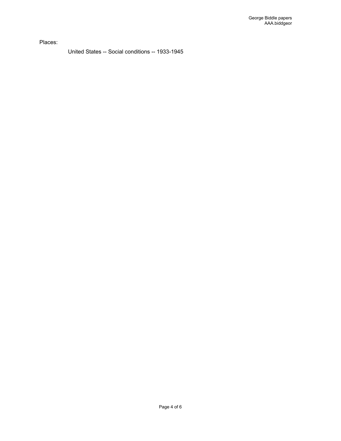Places:

United States -- Social conditions -- 1933-1945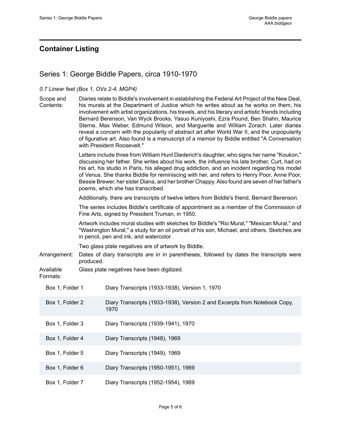## <span id="page-6-0"></span>**Container Listing**

## <span id="page-6-1"></span>Series 1: George Biddle Papers, circa 1910-1970

#### *0.7 Linear feet (Box 1, OVs 2-4, MGP4)*

| Scope ar |  |
|----------|--|
|----------|--|

d Contents: Diaries relate to Biddle's involvement in establishing the Federal Art Project of the New Deal, his murals at the Department of Justice which he writes about as he works on them, his involvement with artist organizations, his travels, and his literary and artistic friends including Bernard Berenson, Van Wyck Brooks, Yasuo Kuniyoshi, Ezra Pound, Ben Shahn, Maurice Sterne, Max Weber, Edmund Wilson, and Marguerite and William Zorach. Later diaries reveal a concern with the popularity of abstract art after World War II, and the unpopularity of figurative art. Also found is a manuscript of a memoir by Biddle entitled "A Conversation with President Roosevelt."

> Letters include three from William Hunt Diederich's daughter, who signs her name "Koukon," discussing her father. She writes about his work, the influence his late brother, Curt, had on his art, his studio in Paris, his alleged drug addiction, and an incident regarding his model of Venus. She thanks Biddle for reminiscing with her, and refers to Henry Poor, Anne Poor, Bessie Brewer, her sister Diana, and her brother Chappy. Also found are seven of her father's poems, which she has transcribed.

Additionally, there are transcripts of twelve letters from Biddle's friend, Bernard Berenson.

The series includes Biddle's certificate of appointment as a member of the Commission of Fine Arts, signed by President Truman, in 1950.

Artwork includes mural studies with sketches for Biddle's "Rio Mural," "Mexican Mural," and "Washington Mural," a study for an oil portrait of his son, Michael, and others. Sketches are in pencil, pen and ink, and watercolor.

Two glass plate negatives are of artwork by Biddle.

Arrangement: Dates of diary transcripts are in in parentheses, followed by dates the transcripts were produced.

Available Glass plate negatives have been digitized.

#### Formats:

| Box 1, Folder 1 | Diary Transcripts (1933-1938), Version 1, 1970                                    |
|-----------------|-----------------------------------------------------------------------------------|
| Box 1, Folder 2 | Diary Transcripts (1933-1938), Version 2 and Excerpts from Notebook Copy,<br>1970 |
| Box 1, Folder 3 | Diary Transcripts (1939-1941), 1970                                               |
| Box 1, Folder 4 | Diary Transcripts (1948), 1969                                                    |
| Box 1, Folder 5 | Diary Transcripts (1949), 1969                                                    |
| Box 1, Folder 6 | Diary Transcripts (1950-1951), 1969                                               |
| Box 1, Folder 7 | Diary Transcripts (1952-1954), 1969                                               |